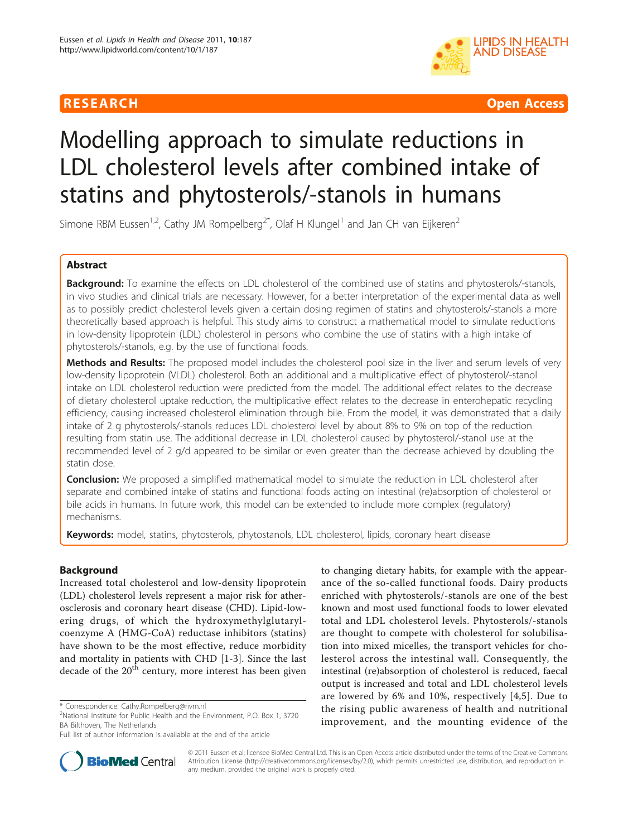

**RESEARCH Open Access** 

# Modelling approach to simulate reductions in LDL cholesterol levels after combined intake of statins and phytosterols/-stanols in humans

Simone RBM Eussen<sup>1,2</sup>, Cathy JM Rompelberg<sup>2\*</sup>, Olaf H Klungel<sup>1</sup> and Jan CH van Eijkeren<sup>2</sup>

# Abstract

Background: To examine the effects on LDL cholesterol of the combined use of statins and phytosterols/-stanols, in vivo studies and clinical trials are necessary. However, for a better interpretation of the experimental data as well as to possibly predict cholesterol levels given a certain dosing regimen of statins and phytosterols/-stanols a more theoretically based approach is helpful. This study aims to construct a mathematical model to simulate reductions in low-density lipoprotein (LDL) cholesterol in persons who combine the use of statins with a high intake of phytosterols/-stanols, e.g. by the use of functional foods.

Methods and Results: The proposed model includes the cholesterol pool size in the liver and serum levels of very low-density lipoprotein (VLDL) cholesterol. Both an additional and a multiplicative effect of phytosterol/-stanol intake on LDL cholesterol reduction were predicted from the model. The additional effect relates to the decrease of dietary cholesterol uptake reduction, the multiplicative effect relates to the decrease in enterohepatic recycling efficiency, causing increased cholesterol elimination through bile. From the model, it was demonstrated that a daily intake of 2 g phytosterols/-stanols reduces LDL cholesterol level by about 8% to 9% on top of the reduction resulting from statin use. The additional decrease in LDL cholesterol caused by phytosterol/-stanol use at the recommended level of 2 g/d appeared to be similar or even greater than the decrease achieved by doubling the statin dose.

**Conclusion:** We proposed a simplified mathematical model to simulate the reduction in LDL cholesterol after separate and combined intake of statins and functional foods acting on intestinal (re)absorption of cholesterol or bile acids in humans. In future work, this model can be extended to include more complex (regulatory) mechanisms.

Keywords: model, statins, phytosterols, phytostanols, LDL cholesterol, lipids, coronary heart disease

# Background

Increased total cholesterol and low-density lipoprotein (LDL) cholesterol levels represent a major risk for atherosclerosis and coronary heart disease (CHD). Lipid-lowering drugs, of which the hydroxymethylglutarylcoenzyme A (HMG-CoA) reductase inhibitors (statins) have shown to be the most effective, reduce morbidity and mortality in patients with CHD [[1-3](#page-9-0)]. Since the last decade of the  $20<sup>th</sup>$  century, more interest has been given

to changing dietary habits, for example with the appearance of the so-called functional foods. Dairy products enriched with phytosterols/-stanols are one of the best known and most used functional foods to lower elevated total and LDL cholesterol levels. Phytosterols/-stanols are thought to compete with cholesterol for solubilisation into mixed micelles, the transport vehicles for cholesterol across the intestinal wall. Consequently, the intestinal (re)absorption of cholesterol is reduced, faecal output is increased and total and LDL cholesterol levels are lowered by 6% and 10%, respectively [[4](#page-9-0),[5\]](#page-9-0). Due to the rising public awareness of health and nutritional improvement, and the mounting evidence of the



© 2011 Eussen et al; licensee BioMed Central Ltd. This is an Open Access article distributed under the terms of the Creative Commons Attribution License [\(http://creativecommons.org/licenses/by/2.0](http://creativecommons.org/licenses/by/2.0)), which permits unrestricted use, distribution, and reproduction in any medium, provided the original work is properly cited.

<sup>\*</sup> Correspondence: [Cathy.Rompelberg@rivm.nl](mailto:Cathy.Rompelberg@rivm.nl)

<sup>2</sup> National Institute for Public Health and the Environment, P.O. Box 1, 3720 BA Bilthoven, The Netherlands

Full list of author information is available at the end of the article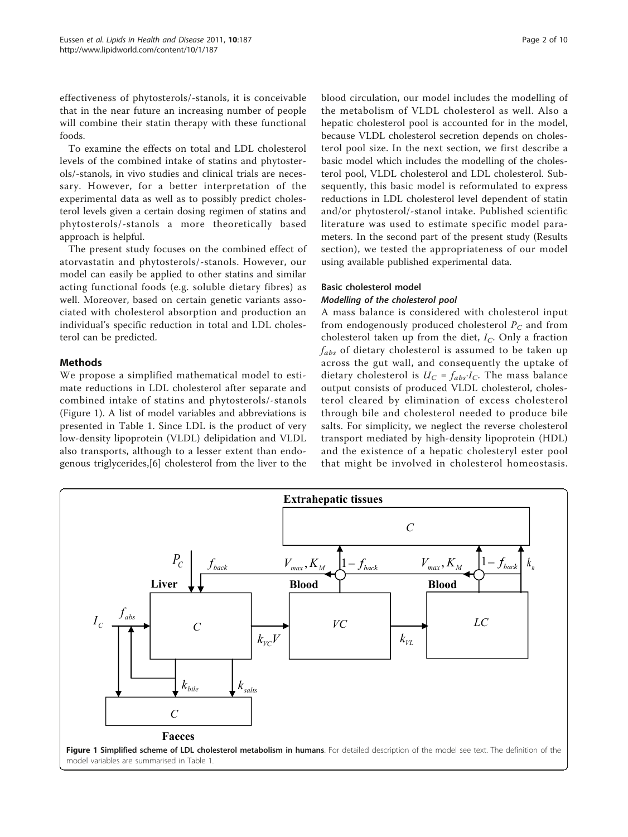<span id="page-1-0"></span>effectiveness of phytosterols/-stanols, it is conceivable that in the near future an increasing number of people will combine their statin therapy with these functional foods.

To examine the effects on total and LDL cholesterol levels of the combined intake of statins and phytosterols/-stanols, in vivo studies and clinical trials are necessary. However, for a better interpretation of the experimental data as well as to possibly predict cholesterol levels given a certain dosing regimen of statins and phytosterols/-stanols a more theoretically based approach is helpful.

The present study focuses on the combined effect of atorvastatin and phytosterols/-stanols. However, our model can easily be applied to other statins and similar acting functional foods (e.g. soluble dietary fibres) as well. Moreover, based on certain genetic variants associated with cholesterol absorption and production an individual's specific reduction in total and LDL cholesterol can be predicted.

# Methods

We propose a simplified mathematical model to estimate reductions in LDL cholesterol after separate and combined intake of statins and phytosterols/-stanols (Figure 1). A list of model variables and abbreviations is presented in Table [1.](#page-2-0) Since LDL is the product of very low-density lipoprotein (VLDL) delipidation and VLDL also transports, although to a lesser extent than endogenous triglycerides,[[6\]](#page-9-0) cholesterol from the liver to the blood circulation, our model includes the modelling of the metabolism of VLDL cholesterol as well. Also a hepatic cholesterol pool is accounted for in the model, because VLDL cholesterol secretion depends on cholesterol pool size. In the next section, we first describe a basic model which includes the modelling of the cholesterol pool, VLDL cholesterol and LDL cholesterol. Subsequently, this basic model is reformulated to express reductions in LDL cholesterol level dependent of statin and/or phytosterol/-stanol intake. Published scientific literature was used to estimate specific model parameters. In the second part of the present study (Results section), we tested the appropriateness of our model using available published experimental data.

# Basic cholesterol model

# Modelling of the cholesterol pool

A mass balance is considered with cholesterol input from endogenously produced cholesterol  $P_C$  and from cholesterol taken up from the diet,  $I_C$ . Only a fraction  $f_{abs}$  of dietary cholesterol is assumed to be taken up across the gut wall, and consequently the uptake of dietary cholesterol is  $U_C = f_{abs}I_C$ . The mass balance output consists of produced VLDL cholesterol, cholesterol cleared by elimination of excess cholesterol through bile and cholesterol needed to produce bile salts. For simplicity, we neglect the reverse cholesterol transport mediated by high-density lipoprotein (HDL) and the existence of a hepatic cholesteryl ester pool that might be involved in cholesterol homeostasis.

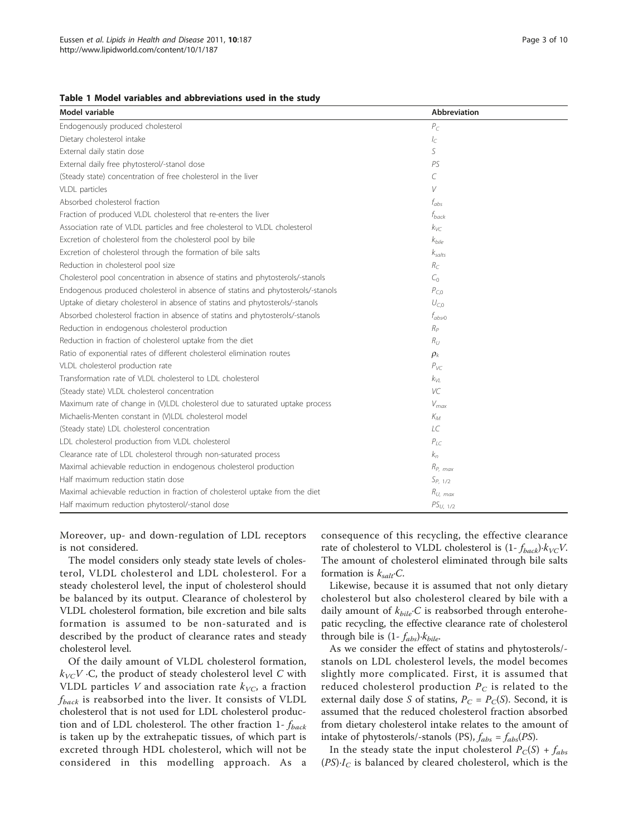<span id="page-2-0"></span>

| Model variable                                                                  | Abbreviation      |
|---------------------------------------------------------------------------------|-------------------|
| Endogenously produced cholesterol                                               | $P_C$             |
| Dietary cholesterol intake                                                      | $I_{C}$           |
| External daily statin dose                                                      | S                 |
| External daily free phytosterol/-stanol dose                                    | PS                |
| (Steady state) concentration of free cholesterol in the liver                   | C                 |
| VLDL particles                                                                  | V                 |
| Absorbed cholesterol fraction                                                   | $f_{\text{abs}}$  |
| Fraction of produced VLDL cholesterol that re-enters the liver                  | f <sub>back</sub> |
| Association rate of VLDL particles and free cholesterol to VLDL cholesterol     | $k_{V}$           |
| Excretion of cholesterol from the cholesterol pool by bile                      | $k_{bile}$        |
| Excretion of cholesterol through the formation of bile salts                    | $k_{\text{odts}}$ |
| Reduction in cholesterol pool size                                              | $R_C$             |
| Cholesterol pool concentration in absence of statins and phytosterols/-stanols  | C <sub>0</sub>    |
| Endogenous produced cholesterol in absence of statins and phytosterols/-stanols | $P_{C,0}$         |
| Uptake of dietary cholesterol in absence of statins and phytosterols/-stanols   | $U_{C,0}$         |
| Absorbed cholesterol fraction in absence of statins and phytosterols/-stanols   | $f_{abs0}$        |
| Reduction in endogenous cholesterol production                                  | $R_P$             |
| Reduction in fraction of cholesterol uptake from the diet                       | $R_{II}$          |
| Ratio of exponential rates of different cholesterol elimination routes          | $\rho_k$          |
| VLDL cholesterol production rate                                                | $P_{V}$           |
| Transformation rate of VLDL cholesterol to LDL cholesterol                      | $k_{VL}$          |
| (Steady state) VLDL cholesterol concentration                                   | VC                |
| Maximum rate of change in (V)LDL cholesterol due to saturated uptake process    | $V_{max}$         |
| Michaelis-Menten constant in (V)LDL cholesterol model                           | $K_M$             |
| (Steady state) LDL cholesterol concentration                                    | LC                |
| LDL cholesterol production from VLDL cholesterol                                | $P_{LC}$          |
| Clearance rate of LDL cholesterol through non-saturated process                 | $k_n$             |
| Maximal achievable reduction in endogenous cholesterol production               | $R_{P.}$ max      |
| Half maximum reduction statin dose                                              | $S_{P, 1/2}$      |
| Maximal achievable reduction in fraction of cholesterol uptake from the diet    | $R_{U, max}$      |
| Half maximum reduction phytosterol/-stanol dose                                 | $PS_{U, 1/2}$     |

Moreover, up- and down-regulation of LDL receptors is not considered.

The model considers only steady state levels of cholesterol, VLDL cholesterol and LDL cholesterol. For a steady cholesterol level, the input of cholesterol should be balanced by its output. Clearance of cholesterol by VLDL cholesterol formation, bile excretion and bile salts formation is assumed to be non-saturated and is described by the product of clearance rates and steady cholesterol level.

Of the daily amount of VLDL cholesterol formation,  $k_{VC}V \cdot C$ , the product of steady cholesterol level C with VLDL particles V and association rate  $k_{VC}$ , a fraction  $f_{back}$  is reabsorbed into the liver. It consists of VLDL cholesterol that is not used for LDL cholesterol production and of LDL cholesterol. The other fraction 1-  $f_{back}$ is taken up by the extrahepatic tissues, of which part is excreted through HDL cholesterol, which will not be considered in this modelling approach. As a consequence of this recycling, the effective clearance rate of cholesterol to VLDL cholesterol is  $(1-f_{back})$ · $k_{VC}V$ . The amount of cholesterol eliminated through bile salts formation is  $k_{salt}$ .

Likewise, because it is assumed that not only dietary cholesterol but also cholesterol cleared by bile with a daily amount of  $k_{bile}$ <sup>C</sup> is reabsorbed through enterohepatic recycling, the effective clearance rate of cholesterol through bile is  $(1 - f_{abs}) \cdot k_{bile}$ .

As we consider the effect of statins and phytosterols/ stanols on LDL cholesterol levels, the model becomes slightly more complicated. First, it is assumed that reduced cholesterol production  $P_C$  is related to the external daily dose S of statins,  $P_C = P_C(S)$ . Second, it is assumed that the reduced cholesterol fraction absorbed from dietary cholesterol intake relates to the amount of intake of phytosterols/-stanols (PS),  $f_{abs} = f_{abs}(PS)$ .

In the steady state the input cholesterol  $P_C(S) + f_{abs}$  $(PS) \cdot I_C$  is balanced by cleared cholesterol, which is the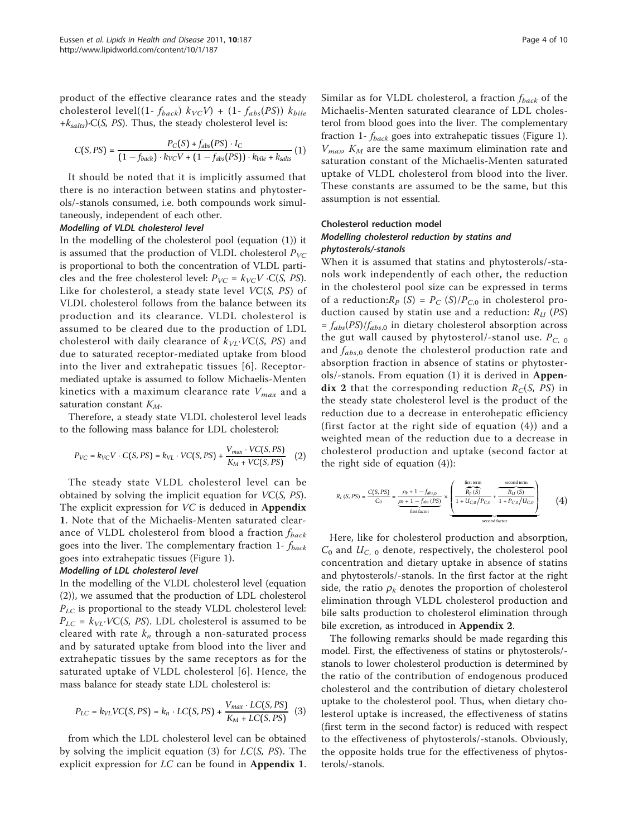product of the effective clearance rates and the steady cholesterol level((1-  $f_{back}$ )  $k_{VC}V$ ) + (1-  $f_{abs}(PS)$ )  $k_{bile}$  $+k<sub>salts</sub>$ )·C(S, PS). Thus, the steady cholesterol level is:

$$
C(S, PS) = \frac{P_C(S) + f_{abs}(PS) \cdot I_C}{\left(1 - f_{back}\right) \cdot k_{VC}V + \left(1 - f_{abs}(PS)\right) \cdot k_{bile} + k_{salts}} (1)
$$

It should be noted that it is implicitly assumed that there is no interaction between statins and phytosterols/-stanols consumed, i.e. both compounds work simultaneously, independent of each other.

#### Modelling of VLDL cholesterol level

In the modelling of the cholesterol pool (equation (1)) it is assumed that the production of VLDL cholesterol  $P_{VC}$ is proportional to both the concentration of VLDL particles and the free cholesterol level:  $P_{VC} = k_{VC}V \cdot C(S, PS)$ . Like for cholesterol, a steady state level  $VC(S, PS)$  of VLDL cholesterol follows from the balance between its production and its clearance. VLDL cholesterol is assumed to be cleared due to the production of LDL cholesterol with daily clearance of  $k_{VL}$ ·VC(S, PS) and due to saturated receptor-mediated uptake from blood into the liver and extrahepatic tissues [[6\]](#page-9-0). Receptormediated uptake is assumed to follow Michaelis-Menten kinetics with a maximum clearance rate  $V_{max}$  and a saturation constant  $K_M$ .

Therefore, a steady state VLDL cholesterol level leads to the following mass balance for LDL cholesterol:

$$
P_{VC} = k_{VC}V \cdot C(S, PS) = k_{VL} \cdot VC(S, PS) + \frac{V_{max} \cdot VC(S, PS)}{K_M + VC(S, PS)} \quad (2)
$$

The steady state VLDL cholesterol level can be obtained by solving the implicit equation for VC(S, PS). The explicit expression for VC is deduced in **Appendix** 1. Note that of the Michaelis-Menten saturated clearance of VLDL cholesterol from blood a fraction  $f_{back}$ goes into the liver. The complementary fraction  $1-f_{back}$ goes into extrahepatic tissues (Figure [1\)](#page-1-0).

# Modelling of LDL cholesterol level

In the modelling of the VLDL cholesterol level (equation (2)), we assumed that the production of LDL cholesterol  $P_{LC}$  is proportional to the steady VLDL cholesterol level:  $P_{LC} = k_{VL} \cdot VC(S, PS)$ . LDL cholesterol is assumed to be cleared with rate  $k_n$  through a non-saturated process and by saturated uptake from blood into the liver and extrahepatic tissues by the same receptors as for the saturated uptake of VLDL cholesterol [[6](#page-9-0)]. Hence, the mass balance for steady state LDL cholesterol is:

$$
P_{LC} = k_{VL}VC(S, PS) = k_n \cdot LC(S, PS) + \frac{V_{max} \cdot LC(S, PS)}{K_M + LC(S, PS)} \tag{3}
$$

from which the LDL cholesterol level can be obtained by solving the implicit equation (3) for  $LC(S, PS)$ . The explicit expression for LC can be found in Appendix 1. Similar as for VLDL cholesterol, a fraction  $f_{back}$  of the Michaelis-Menten saturated clearance of LDL cholesterol from blood goes into the liver. The complementary fraction [1](#page-1-0)-  $f_{back}$  goes into extrahepatic tissues (Figure 1).  $V_{max}$   $K_M$  are the same maximum elimination rate and saturation constant of the Michaelis-Menten saturated uptake of VLDL cholesterol from blood into the liver. These constants are assumed to be the same, but this assumption is not essential.

# Cholesterol reduction model Modelling cholesterol reduction by statins and phytosterols/-stanols

When it is assumed that statins and phytosterols/-stanols work independently of each other, the reduction in the cholesterol pool size can be expressed in terms of a reduction: $R_P$  (S) =  $P_C$  (S)/ $P_{C,0}$  in cholesterol production caused by statin use and a reduction:  $R_U$  (PS)  $=f_{abs}(PS)/f_{abs,0}$  in dietary cholesterol absorption across the gut wall caused by phytosterol/-stanol use.  $P_{C, 0}$ and  $f_{abs,0}$  denote the cholesterol production rate and absorption fraction in absence of statins or phytosterols/-stanols. From equation (1) it is derived in Appendix 2 that the corresponding reduction  $R<sub>C</sub>(S, PS)$  in the steady state cholesterol level is the product of the reduction due to a decrease in enterohepatic efficiency (first factor at the right side of equation (4)) and a weighted mean of the reduction due to a decrease in cholesterol production and uptake (second factor at the right side of equation (4)):

$$
R_c(S, PS) = \frac{C(S, PS)}{C_0} = \underbrace{\frac{\rho_k + 1 - f_{abs,0}}{\frac{\rho_k + 1 - f_{abs}(PS)}{\text{first factor}}}}_{\text{first factor}} \times \underbrace{\left(\frac{\frac{\text{first term}}{R_p(S)}}{1 + U_{Co} / P_{C,0}} + \frac{\frac{\text{second term}}{R_U(S)}}{1 + P_{Co} / U_{C,0}}\right)}_{\text{second factor}}
$$
(4)

Here, like for cholesterol production and absorption,  $C_0$  and  $U_{C, 0}$  denote, respectively, the cholesterol pool concentration and dietary uptake in absence of statins and phytosterols/-stanols. In the first factor at the right side, the ratio  $\rho_k$  denotes the proportion of cholesterol elimination through VLDL cholesterol production and bile salts production to cholesterol elimination through bile excretion, as introduced in Appendix 2.

The following remarks should be made regarding this model. First, the effectiveness of statins or phytosterols/ stanols to lower cholesterol production is determined by the ratio of the contribution of endogenous produced cholesterol and the contribution of dietary cholesterol uptake to the cholesterol pool. Thus, when dietary cholesterol uptake is increased, the effectiveness of statins (first term in the second factor) is reduced with respect to the effectiveness of phytosterols/-stanols. Obviously, the opposite holds true for the effectiveness of phytosterols/-stanols.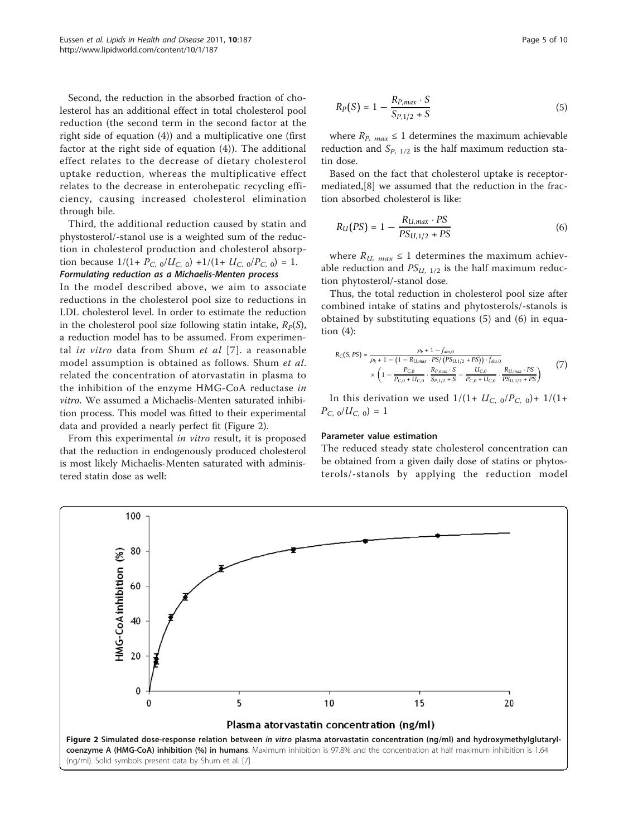Second, the reduction in the absorbed fraction of cholesterol has an additional effect in total cholesterol pool reduction (the second term in the second factor at the right side of equation (4)) and a multiplicative one (first factor at the right side of equation (4)). The additional effect relates to the decrease of dietary cholesterol uptake reduction, whereas the multiplicative effect relates to the decrease in enterohepatic recycling efficiency, causing increased cholesterol elimination through bile.

Third, the additional reduction caused by statin and phystosterol/-stanol use is a weighted sum of the reduction in cholesterol production and cholesterol absorption because  $1/(1+P_{C, 0}/U_{C, 0}) + 1/(1+U_{C, 0}/P_{C, 0}) = 1$ . Formulating reduction as a Michaelis-Menten process

In the model described above, we aim to associate reductions in the cholesterol pool size to reductions in LDL cholesterol level. In order to estimate the reduction in the cholesterol pool size following statin intake,  $R<sub>p</sub>(S)$ , a reduction model has to be assumed. From experimental in vitro data from Shum et al [[7\]](#page-9-0). a reasonable model assumption is obtained as follows. Shum et al. related the concentration of atorvastatin in plasma to the inhibition of the enzyme HMG-CoA reductase in vitro. We assumed a Michaelis-Menten saturated inhibition process. This model was fitted to their experimental data and provided a nearly perfect fit (Figure 2).

From this experimental in vitro result, it is proposed that the reduction in endogenously produced cholesterol is most likely Michaelis-Menten saturated with administered statin dose as well:

$$
R_P(S) = 1 - \frac{R_{P,max} \cdot S}{S_{P,1/2} + S}
$$
 (5)

where  $R_{P, max} \leq 1$  determines the maximum achievable reduction and  $S_{P, 1/2}$  is the half maximum reduction statin dose.

Based on the fact that cholesterol uptake is receptormediated,[[8\]](#page-9-0) we assumed that the reduction in the fraction absorbed cholesterol is like:

$$
R_{U}(PS) = 1 - \frac{R_{U,max} \cdot PS}{PS_{U,1/2} + PS}
$$
 (6)

where  $R_{U, max} \leq 1$  determines the maximum achievable reduction and  $PS_{U, 1/2}$  is the half maximum reduction phytosterol/-stanol dose.

Thus, the total reduction in cholesterol pool size after combined intake of statins and phytosterols/-stanols is obtained by substituting equations (5) and (6) in equation (4):

$$
R_C(S, PS) = \frac{\rho_k + 1 - f_{abs,0}}{\rho_k + 1 - (1 - R_{U,max} \cdot PS/\left(PS_{U,1/2} + PS\right)) \cdot f_{abs,0}} \times \left(1 - \frac{P_{C,0}}{P_{C,0} + U_{C,0}} \cdot \frac{R_{P,max} \cdot S}{S_{P,1/2} + S} - \frac{U_{C,0}}{P_{C,0} + U_{C,0}} \cdot \frac{R_{U,max} \cdot PS}{PS_{U,1/2} + PS}\right)
$$
(7)

In this derivation we used  $1/(1+U_{C_0/2}/P_{C_0/2})+1/(1+$  $P_{C, 0}/U_{C, 0}=1$ 

# Parameter value estimation

The reduced steady state cholesterol concentration can be obtained from a given daily dose of statins or phytosterols/-stanols by applying the reduction model

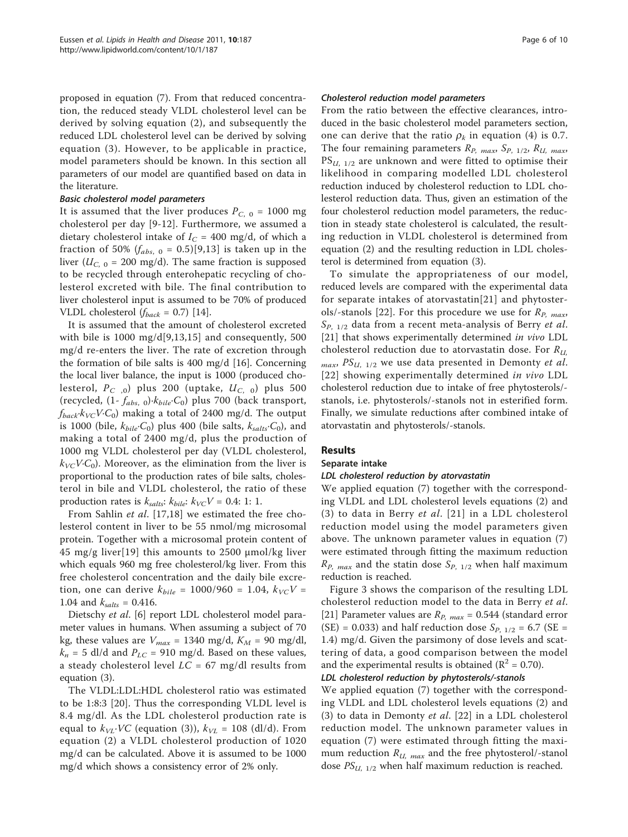proposed in equation (7). From that reduced concentration, the reduced steady VLDL cholesterol level can be derived by solving equation (2), and subsequently the reduced LDL cholesterol level can be derived by solving equation (3). However, to be applicable in practice, model parameters should be known. In this section all parameters of our model are quantified based on data in the literature.

### Basic cholesterol model parameters

It is assumed that the liver produces  $P_{C, 0} = 1000$  mg cholesterol per day [[9-12](#page-9-0)]. Furthermore, we assumed a dietary cholesterol intake of  $I_C = 400$  mg/d, of which a fraction of 50% ( $f_{abs, 0} = 0.5$ )[\[9,13](#page-9-0)] is taken up in the liver ( $U_{C, 0}$  = 200 mg/d). The same fraction is supposed to be recycled through enterohepatic recycling of cholesterol excreted with bile. The final contribution to liver cholesterol input is assumed to be 70% of produced VLDL cholesterol  $(f_{back} = 0.7)$  [[14](#page-9-0)].

It is assumed that the amount of cholesterol excreted with bile is 1000 mg/d[[9,13](#page-9-0),[15\]](#page-9-0) and consequently, 500 mg/d re-enters the liver. The rate of excretion through the formation of bile salts is 400 mg/d [[16\]](#page-9-0). Concerning the local liver balance, the input is 1000 (produced cholesterol,  $P_{C_0}$ ) plus 200 (uptake,  $U_{C_0}$ ) plus 500 (recycled,  $(1 - f_{abs, 0}) \cdot k_{bile} \cdot C_0$ ) plus 700 (back transport,  $f_{back}$ · $k_{VC}$ V·C<sub>0</sub>) making a total of 2400 mg/d. The output is 1000 (bile,  $k_{bile}$ ·C<sub>0</sub>) plus 400 (bile salts,  $k_{salts}$ ·C<sub>0</sub>), and making a total of 2400 mg/d, plus the production of 1000 mg VLDL cholesterol per day (VLDL cholesterol,  $k_{VC}V\text{-}C_0$ ). Moreover, as the elimination from the liver is proportional to the production rates of bile salts, cholesterol in bile and VLDL cholesterol, the ratio of these production rates is  $k_{satts}$ :  $k_{bile}$ :  $k_{VC}V$  = 0.4: 1: 1.

From Sahlin et al. [\[17,18\]](#page-9-0) we estimated the free cholesterol content in liver to be 55 nmol/mg microsomal protein. Together with a microsomal protein content of  $45 \text{ mg/g}$  liver[[19\]](#page-9-0) this amounts to 2500 μmol/kg liver which equals 960 mg free cholesterol/kg liver. From this free cholesterol concentration and the daily bile excretion, one can derive  $k_{bile} = 1000/960 = 1.04$ ,  $k_{VC}V =$ 1.04 and  $k_{satts} = 0.416$ .

Dietschy et al. [[6\]](#page-9-0) report LDL cholesterol model parameter values in humans. When assuming a subject of 70 kg, these values are  $V_{max} = 1340$  mg/d,  $K_M = 90$  mg/dl,  $k_n = 5$  dl/d and  $P_{LC} = 910$  mg/d. Based on these values, a steady cholesterol level  $LC = 67$  mg/dl results from equation (3).

The VLDL:LDL:HDL cholesterol ratio was estimated to be 1:8:3 [\[20](#page-9-0)]. Thus the corresponding VLDL level is 8.4 mg/dl. As the LDL cholesterol production rate is equal to  $k_{VL}$ ·VC (equation (3)),  $k_{VL}$  = 108 (dl/d). From equation (2) a VLDL cholesterol production of 1020 mg/d can be calculated. Above it is assumed to be 1000 mg/d which shows a consistency error of 2% only.

### Cholesterol reduction model parameters

From the ratio between the effective clearances, introduced in the basic cholesterol model parameters section, one can derive that the ratio  $\rho_k$  in equation (4) is 0.7. The four remaining parameters  $R_{P, max}$ ,  $S_{P, 1/2}$ ,  $R_{U, max}$ ,  $PS_{U, 1/2}$  are unknown and were fitted to optimise their likelihood in comparing modelled LDL cholesterol reduction induced by cholesterol reduction to LDL cholesterol reduction data. Thus, given an estimation of the four cholesterol reduction model parameters, the reduction in steady state cholesterol is calculated, the resulting reduction in VLDL cholesterol is determined from equation (2) and the resulting reduction in LDL cholesterol is determined from equation (3).

To simulate the appropriateness of our model, reduced levels are compared with the experimental data for separate intakes of atorvastatin[[21\]](#page-9-0) and phytoster-ols/-stanols [\[22](#page-9-0)]. For this procedure we use for  $R_{P, max}$ ,  $S_{P, 1/2}$  data from a recent meta-analysis of Berry et al. [[21\]](#page-9-0) that shows experimentally determined in vivo LDL cholesterol reduction due to atorvastatin dose. For  $R_{U_i}$  $_{max}$ ,  $PS_{U, 1/2}$  we use data presented in Demonty *et al.* [[22\]](#page-9-0) showing experimentally determined in vivo LDL cholesterol reduction due to intake of free phytosterols/ stanols, i.e. phytosterols/-stanols not in esterified form. Finally, we simulate reductions after combined intake of atorvastatin and phytosterols/-stanols.

# Results

### Separate intake

### LDL cholesterol reduction by atorvastatin

We applied equation (7) together with the corresponding VLDL and LDL cholesterol levels equations (2) and (3) to data in Berry et al. [[21](#page-9-0)] in a LDL cholesterol reduction model using the model parameters given above. The unknown parameter values in equation (7) were estimated through fitting the maximum reduction  $R_{P, max}$  and the statin dose  $S_{P, 1/2}$  when half maximum reduction is reached.

Figure [3](#page-6-0) shows the comparison of the resulting LDL cholesterol reduction model to the data in Berry et al. [[21\]](#page-9-0) Parameter values are  $R_{P, max} = 0.544$  (standard error (SE) = 0.033) and half reduction dose  $S_{P, 1/2}$  = 6.7 (SE = 1.4) mg/d. Given the parsimony of dose levels and scattering of data, a good comparison between the model and the experimental results is obtained ( $\mathbb{R}^2 = 0.70$ ).

# LDL cholesterol reduction by phytosterols/-stanols

We applied equation (7) together with the corresponding VLDL and LDL cholesterol levels equations (2) and (3) to data in Demonty et al. [[22\]](#page-9-0) in a LDL cholesterol reduction model. The unknown parameter values in equation (7) were estimated through fitting the maximum reduction  $R_{U, max}$  and the free phytosterol/-stanol dose  $PS_{U, 1/2}$  when half maximum reduction is reached.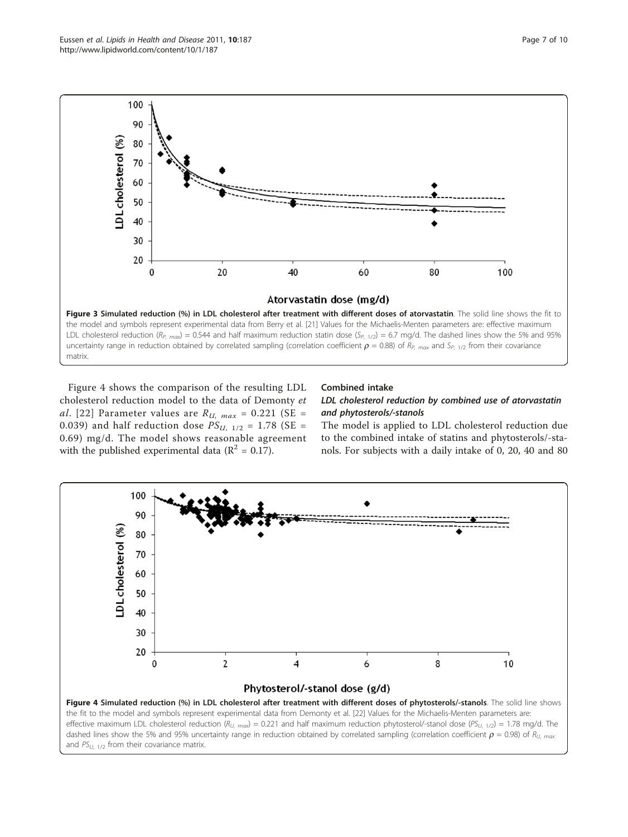<span id="page-6-0"></span>

Figure 4 shows the comparison of the resulting LDL cholesterol reduction model to the data of Demonty et al. [[22](#page-9-0)] Parameter values are  $R_{U, max} = 0.221$  (SE = 0.039) and half reduction dose  $PS_{U, 1/2} = 1.78$  (SE = 0.69) mg/d. The model shows reasonable agreement with the published experimental data ( $R^2 = 0.17$ ).

#### Combined intake

# LDL cholesterol reduction by combined use of atorvastatin and phytosterols/-stanols

The model is applied to LDL cholesterol reduction due to the combined intake of statins and phytosterols/-stanols. For subjects with a daily intake of 0, 20, 40 and 80

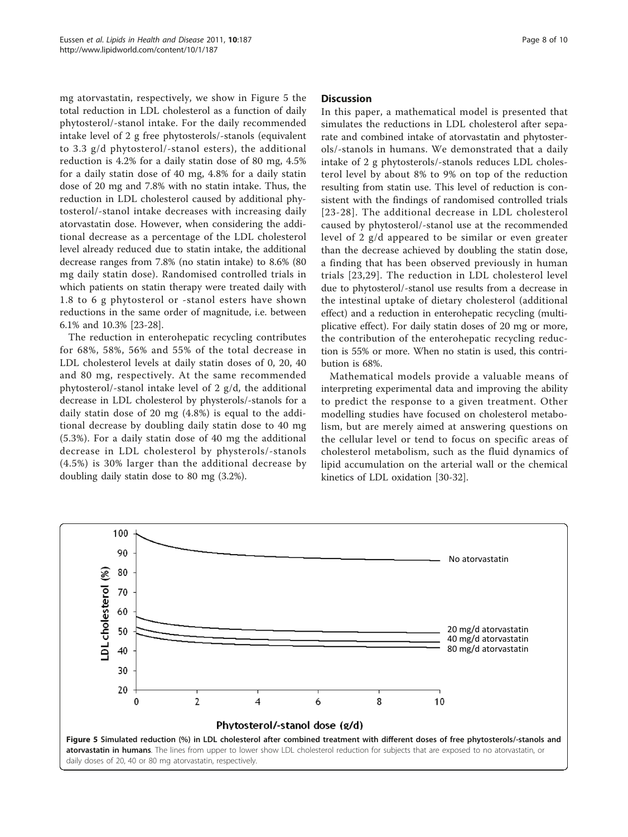mg atorvastatin, respectively, we show in Figure 5 the total reduction in LDL cholesterol as a function of daily phytosterol/-stanol intake. For the daily recommended intake level of 2 g free phytosterols/-stanols (equivalent to 3.3 g/d phytosterol/-stanol esters), the additional reduction is 4.2% for a daily statin dose of 80 mg, 4.5% for a daily statin dose of 40 mg, 4.8% for a daily statin dose of 20 mg and 7.8% with no statin intake. Thus, the reduction in LDL cholesterol caused by additional phytosterol/-stanol intake decreases with increasing daily atorvastatin dose. However, when considering the additional decrease as a percentage of the LDL cholesterol level already reduced due to statin intake, the additional decrease ranges from 7.8% (no statin intake) to 8.6% (80 mg daily statin dose). Randomised controlled trials in which patients on statin therapy were treated daily with 1.8 to 6 g phytosterol or -stanol esters have shown reductions in the same order of magnitude, i.e. between 6.1% and 10.3% [[23-28\]](#page-9-0).

The reduction in enterohepatic recycling contributes for 68%, 58%, 56% and 55% of the total decrease in LDL cholesterol levels at daily statin doses of 0, 20, 40 and 80 mg, respectively. At the same recommended phytosterol/-stanol intake level of 2 g/d, the additional decrease in LDL cholesterol by physterols/-stanols for a daily statin dose of 20 mg (4.8%) is equal to the additional decrease by doubling daily statin dose to 40 mg (5.3%). For a daily statin dose of 40 mg the additional decrease in LDL cholesterol by physterols/-stanols (4.5%) is 30% larger than the additional decrease by doubling daily statin dose to 80 mg (3.2%).

#### **Discussion**

In this paper, a mathematical model is presented that simulates the reductions in LDL cholesterol after separate and combined intake of atorvastatin and phytosterols/-stanols in humans. We demonstrated that a daily intake of 2 g phytosterols/-stanols reduces LDL cholesterol level by about 8% to 9% on top of the reduction resulting from statin use. This level of reduction is consistent with the findings of randomised controlled trials [[23-28\]](#page-9-0). The additional decrease in LDL cholesterol caused by phytosterol/-stanol use at the recommended level of 2 g/d appeared to be similar or even greater than the decrease achieved by doubling the statin dose, a finding that has been observed previously in human trials [[23](#page-9-0),[29](#page-9-0)]. The reduction in LDL cholesterol level due to phytosterol/-stanol use results from a decrease in the intestinal uptake of dietary cholesterol (additional effect) and a reduction in enterohepatic recycling (multiplicative effect). For daily statin doses of 20 mg or more, the contribution of the enterohepatic recycling reduction is 55% or more. When no statin is used, this contribution is 68%.

Mathematical models provide a valuable means of interpreting experimental data and improving the ability to predict the response to a given treatment. Other modelling studies have focused on cholesterol metabolism, but are merely aimed at answering questions on the cellular level or tend to focus on specific areas of cholesterol metabolism, such as the fluid dynamics of lipid accumulation on the arterial wall or the chemical kinetics of LDL oxidation [\[30-32](#page-9-0)].

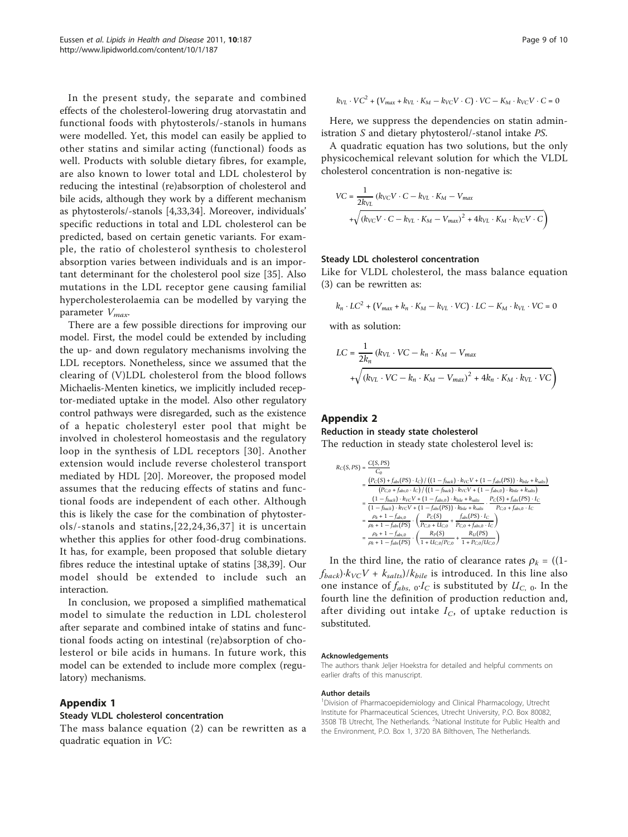In the present study, the separate and combined effects of the cholesterol-lowering drug atorvastatin and functional foods with phytosterols/-stanols in humans were modelled. Yet, this model can easily be applied to other statins and similar acting (functional) foods as well. Products with soluble dietary fibres, for example, are also known to lower total and LDL cholesterol by reducing the intestinal (re)absorption of cholesterol and bile acids, although they work by a different mechanism as phytosterols/-stanols [[4,33,34\]](#page-9-0). Moreover, individuals' specific reductions in total and LDL cholesterol can be predicted, based on certain genetic variants. For example, the ratio of cholesterol synthesis to cholesterol absorption varies between individuals and is an important determinant for the cholesterol pool size [\[35](#page-9-0)]. Also mutations in the LDL receptor gene causing familial hypercholesterolaemia can be modelled by varying the parameter  $V_{max}$ .

There are a few possible directions for improving our model. First, the model could be extended by including the up- and down regulatory mechanisms involving the LDL receptors. Nonetheless, since we assumed that the clearing of (V)LDL cholesterol from the blood follows Michaelis-Menten kinetics, we implicitly included receptor-mediated uptake in the model. Also other regulatory control pathways were disregarded, such as the existence of a hepatic cholesteryl ester pool that might be involved in cholesterol homeostasis and the regulatory loop in the synthesis of LDL receptors [[30](#page-9-0)]. Another extension would include reverse cholesterol transport mediated by HDL [\[20\]](#page-9-0). Moreover, the proposed model assumes that the reducing effects of statins and functional foods are independent of each other. Although this is likely the case for the combination of phytosterols/-stanols and statins,[[22](#page-9-0),[24,36](#page-9-0),[37](#page-9-0)] it is uncertain whether this applies for other food-drug combinations. It has, for example, been proposed that soluble dietary fibres reduce the intestinal uptake of statins [[38](#page-9-0),[39](#page-9-0)]. Our model should be extended to include such an interaction.

In conclusion, we proposed a simplified mathematical model to simulate the reduction in LDL cholesterol after separate and combined intake of statins and functional foods acting on intestinal (re)absorption of cholesterol or bile acids in humans. In future work, this model can be extended to include more complex (regulatory) mechanisms.

# Appendix 1

### Steady VLDL cholesterol concentration

The mass balance equation (2) can be rewritten as a quadratic equation in VC:

$$
k_{VL}\cdot VC^2 + \left(V_{max}+k_{VL}\cdot K_M - k_{VC}V\cdot C\right)\cdot VC - K_M\cdot k_{VC}V\cdot C = 0
$$

Here, we suppress the dependencies on statin administration S and dietary phytosterol/-stanol intake PS.

A quadratic equation has two solutions, but the only physicochemical relevant solution for which the VLDL cholesterol concentration is non-negative is:

$$
VC = \frac{1}{2k_{VL}} (k_{VC}V \cdot C - k_{VL} \cdot K_M - V_{max}
$$

$$
+ \sqrt{(k_{VC}V \cdot C - k_{VL} \cdot K_M - V_{max})^2 + 4k_{VL} \cdot K_M \cdot k_{VC}V \cdot C}
$$

# Steady LDL cholesterol concentration

Like for VLDL cholesterol, the mass balance equation (3) can be rewritten as:

$$
k_n \cdot LC^2 + (V_{max} + k_n \cdot K_M - k_{VL} \cdot VC) \cdot LC - K_M \cdot k_{VL} \cdot VC = 0
$$

with as solution:

$$
LC = \frac{1}{2k_n} (k_{VL} \cdot VC - k_n \cdot K_M - V_{max}
$$
  
+
$$
\sqrt{(k_{VL} \cdot VC - k_n \cdot K_M - V_{max})^2 + 4k_n \cdot K_M \cdot k_{VL} \cdot VC}
$$

#### Appendix 2

# Reduction in steady state cholesterol

The reduction in steady state cholesterol level is:

$$
R_C(S, PS) = \frac{C(S, PS)}{C_O}
$$
  
= 
$$
\frac{(P_C(S) + f_{abs}(PS) \cdot I_C) / ((1 - f_{back}) \cdot k_{VC}V + (1 - f_{abs}(PS)) \cdot k_{bile} + k_{salts})}{(P_{CO} + f_{abs, O} \cdot I_C) / ((1 - f_{back}) \cdot k_{VC}V + (1 - f_{abs, O}) \cdot k_{bile} + k_{salts})}
$$
  
= 
$$
\frac{(1 - f_{back}) \cdot k_{VC}V + (1 - f_{abs, O}) \cdot k_{bile} + k_{salts}}{(1 - f_{back}) \cdot k_{VC}V + (1 - f_{abs, O}) \cdot k_{bile} + k_{salts}} \cdot \frac{P_C(S) + f_{abs}(PS) \cdot I_C}{P_{C, O} + f_{abs, O} \cdot I_C}
$$
  
= 
$$
\frac{P_k + 1 - f_{abs, O}}{P_k + 1 - f_{abs}(PS)} \cdot \frac{P_C(S)}{P_{CO} + I_{CO}} + \frac{f_{abs}(PS) \cdot I_C}{P_{CO} + f_{abs, O} \cdot I_C}
$$
  
= 
$$
\frac{P_k + 1 - f_{abs, O}}{P_k + 1 - f_{abs}(PS)} \cdot \frac{(1 - f_{CO}) \cdot k_{D}}{(1 + U_{CO}/P_{CO}} + \frac{T_{O}V / U_C}{1 + P_{CO}/U_{CO}})
$$

In the third line, the ratio of clearance rates  $\rho_k = ((1-\epsilon)\rho_k)$  $f_{back}$ )· $k_{VC}V$  +  $k_{salts}$ )/ $k_{bile}$  is introduced. In this line also one instance of  $f_{abs}$ ,  $_0$ · $I_C$  is substituted by  $U_{C}$ ,  $_0$ . In the fourth line the definition of production reduction and, after dividing out intake  $I_C$ , of uptake reduction is substituted.

#### Acknowledgements

The authors thank Jeljer Hoekstra for detailed and helpful comments on earlier drafts of this manuscript.

#### Author details

<sup>1</sup> Division of Pharmacoepidemiology and Clinical Pharmacology, Utrecht Institute for Pharmaceutical Sciences, Utrecht University, P.O. Box 80082, 3508 TB Utrecht, The Netherlands. <sup>2</sup>National Institute for Public Health and the Environment, P.O. Box 1, 3720 BA Bilthoven, The Netherlands.